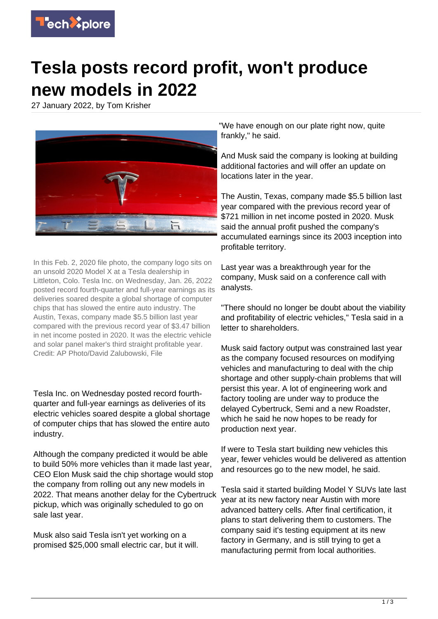

## **Tesla posts record profit, won't produce new models in 2022**

27 January 2022, by Tom Krisher



In this Feb. 2, 2020 file photo, the company logo sits on an unsold 2020 Model X at a Tesla dealership in Littleton, Colo. Tesla Inc. on Wednesday, Jan. 26, 2022 posted record fourth-quarter and full-year earnings as its deliveries soared despite a global shortage of computer chips that has slowed the entire auto industry. The Austin, Texas, company made \$5.5 billion last year compared with the previous record year of \$3.47 billion in net income posted in 2020. It was the electric vehicle and solar panel maker's third straight profitable year. Credit: AP Photo/David Zalubowski, File

Tesla Inc. on Wednesday posted record fourthquarter and full-year earnings as deliveries of its electric vehicles soared despite a global shortage of computer chips that has slowed the entire auto industry.

Although the company predicted it would be able to build 50% more vehicles than it made last year, CEO Elon Musk said the chip shortage would stop the company from rolling out any new models in 2022. That means another delay for the Cybertruck pickup, which was originally scheduled to go on sale last year.

Musk also said Tesla isn't yet working on a promised \$25,000 small electric car, but it will. "We have enough on our plate right now, quite frankly," he said.

And Musk said the company is looking at building additional factories and will offer an update on locations later in the year.

The Austin, Texas, company made \$5.5 billion last year compared with the previous record year of \$721 million in net income posted in 2020. Musk said the annual profit pushed the company's accumulated earnings since its 2003 inception into profitable territory.

Last year was a breakthrough year for the company, Musk said on a conference call with analysts.

"There should no longer be doubt about the viability and profitability of electric vehicles," Tesla said in a letter to shareholders.

Musk said factory output was constrained last year as the company focused resources on modifying vehicles and manufacturing to deal with the chip shortage and other supply-chain problems that will persist this year. A lot of engineering work and factory tooling are under way to produce the delayed Cybertruck, Semi and a new Roadster, which he said he now hopes to be ready for production next year.

If were to Tesla start building new vehicles this year, fewer vehicles would be delivered as attention and resources go to the new model, he said.

Tesla said it started building Model Y SUVs late last year at its new factory near Austin with more advanced battery cells. After final certification, it plans to start delivering them to customers. The company said it's testing equipment at its new factory in Germany, and is still trying to get a manufacturing permit from local authorities.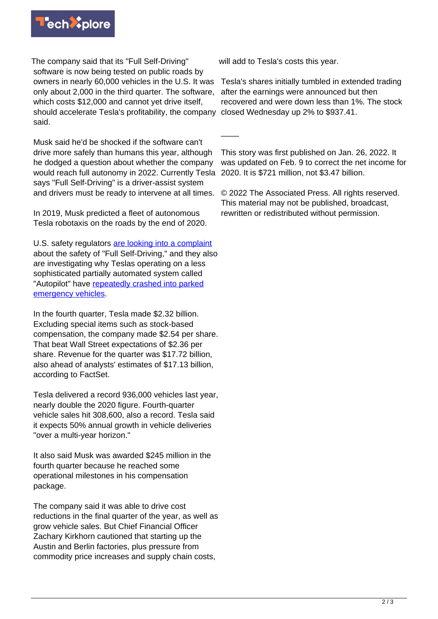

The company said that its "Full Self-Driving" software is now being tested on public roads by owners in nearly 60,000 vehicles in the U.S. It was only about 2,000 in the third quarter. The software, which costs \$12,000 and cannot yet drive itself, should accelerate Tesla's profitability, the company closed Wednesday up 2% to \$937.41. said.

Musk said he'd be shocked if the software can't drive more safely than humans this year, although he dodged a question about whether the company would reach full autonomy in 2022. Currently Tesla says "Full Self-Driving" is a driver-assist system and drivers must be ready to intervene at all times.

In 2019, Musk predicted a fleet of autonomous Tesla robotaxis on the roads by the end of 2020.

U.S. safety regulators [are looking into a complaint](https://techxplore.com/news/2021-11-tesla-driver-complaint.html) about the safety of "Full Self-Driving," and they also are investigating why Teslas operating on a less sophisticated partially automated system called "Autopilot" have [repeatedly crashed into parked](https://techxplore.com/news/2021-08-probing-autopilot-problems-tesla-vehicles.html) [emergency vehicles.](https://techxplore.com/news/2021-08-probing-autopilot-problems-tesla-vehicles.html)

In the fourth quarter, Tesla made \$2.32 billion. Excluding special items such as stock-based compensation, the company made \$2.54 per share. That beat Wall Street expectations of \$2.36 per share. Revenue for the quarter was \$17.72 billion, also ahead of analysts' estimates of \$17.13 billion, according to FactSet.

Tesla delivered a record 936,000 vehicles last year, nearly double the 2020 figure. Fourth-quarter vehicle sales hit 308,600, also a record. Tesla said it expects 50% annual growth in vehicle deliveries "over a multi-year horizon."

It also said Musk was awarded \$245 million in the fourth quarter because he reached some operational milestones in his compensation package.

The company said it was able to drive cost reductions in the final quarter of the year, as well as grow vehicle sales. But Chief Financial Officer Zachary Kirkhorn cautioned that starting up the Austin and Berlin factories, plus pressure from commodity price increases and supply chain costs,

will add to Tesla's costs this year.

 $\overline{\phantom{a}}$ 

Tesla's shares initially tumbled in extended trading after the earnings were announced but then recovered and were down less than 1%. The stock

This story was first published on Jan. 26, 2022. It was updated on Feb. 9 to correct the net income for 2020. It is \$721 million, not \$3.47 billion.

© 2022 The Associated Press. All rights reserved. This material may not be published, broadcast, rewritten or redistributed without permission.